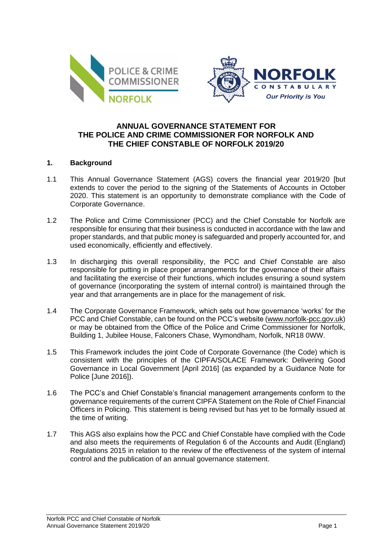



# **ANNUAL GOVERNANCE STATEMENT FOR THE POLICE AND CRIME COMMISSIONER FOR NORFOLK AND THE CHIEF CONSTABLE OF NORFOLK 2019/20**

### **1. Background**

- 1.1 This Annual Governance Statement (AGS) covers the financial year 2019/20 [but extends to cover the period to the signing of the Statements of Accounts in October 2020. This statement is an opportunity to demonstrate compliance with the Code of Corporate Governance.
- 1.2 The Police and Crime Commissioner (PCC) and the Chief Constable for Norfolk are responsible for ensuring that their business is conducted in accordance with the law and proper standards, and that public money is safeguarded and properly accounted for, and used economically, efficiently and effectively.
- 1.3 In discharging this overall responsibility, the PCC and Chief Constable are also responsible for putting in place proper arrangements for the governance of their affairs and facilitating the exercise of their functions, which includes ensuring a sound system of governance (incorporating the system of internal control) is maintained through the year and that arrangements are in place for the management of risk.
- 1.4 The Corporate Governance Framework, which sets out how governance 'works' for the PCC and Chief Constable, can be found on the PCC's website [\(www.norfolk-pcc.gov.uk\)](http://www.norfolk-pcc.gov.uk/) or may be obtained from the Office of the Police and Crime Commissioner for Norfolk, Building 1, Jubilee House, Falconers Chase, Wymondham, Norfolk, NR18 0WW.
- 1.5 This Framework includes the joint Code of Corporate Governance (the Code) which is consistent with the principles of the CIPFA/SOLACE Framework: Delivering Good Governance in Local Government [April 2016] (as expanded by a Guidance Note for Police [June 2016]).
- 1.6 The PCC's and Chief Constable's financial management arrangements conform to the governance requirements of the current CIPFA Statement on the Role of Chief Financial Officers in Policing. This statement is being revised but has yet to be formally issued at the time of writing.
- 1.7 This AGS also explains how the PCC and Chief Constable have complied with the Code and also meets the requirements of Regulation 6 of the Accounts and Audit (England) Regulations 2015 in relation to the review of the effectiveness of the system of internal control and the publication of an annual governance statement.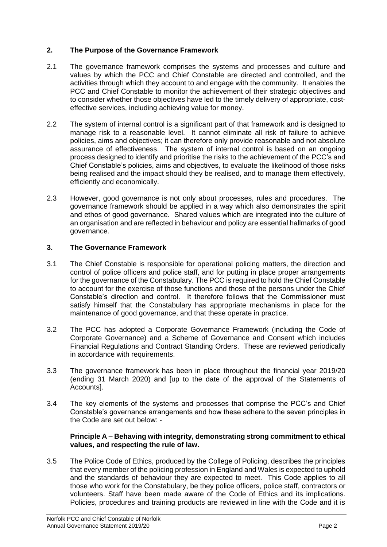# **2. The Purpose of the Governance Framework**

- 2.1 The governance framework comprises the systems and processes and culture and values by which the PCC and Chief Constable are directed and controlled, and the activities through which they account to and engage with the community. It enables the PCC and Chief Constable to monitor the achievement of their strategic objectives and to consider whether those objectives have led to the timely delivery of appropriate, costeffective services, including achieving value for money.
- 2.2 The system of internal control is a significant part of that framework and is designed to manage risk to a reasonable level. It cannot eliminate all risk of failure to achieve policies, aims and objectives; it can therefore only provide reasonable and not absolute assurance of effectiveness. The system of internal control is based on an ongoing process designed to identify and prioritise the risks to the achievement of the PCC's and Chief Constable's policies, aims and objectives, to evaluate the likelihood of those risks being realised and the impact should they be realised, and to manage them effectively, efficiently and economically.
- 2.3 However, good governance is not only about processes, rules and procedures. The governance framework should be applied in a way which also demonstrates the spirit and ethos of good governance. Shared values which are integrated into the culture of an organisation and are reflected in behaviour and policy are essential hallmarks of good governance.

### **3. The Governance Framework**

- 3.1 The Chief Constable is responsible for operational policing matters, the direction and control of police officers and police staff, and for putting in place proper arrangements for the governance of the Constabulary. The PCC is required to hold the Chief Constable to account for the exercise of those functions and those of the persons under the Chief Constable's direction and control. It therefore follows that the Commissioner must satisfy himself that the Constabulary has appropriate mechanisms in place for the maintenance of good governance, and that these operate in practice.
- 3.2 The PCC has adopted a Corporate Governance Framework (including the Code of Corporate Governance) and a Scheme of Governance and Consent which includes Financial Regulations and Contract Standing Orders. These are reviewed periodically in accordance with requirements.
- 3.3 The governance framework has been in place throughout the financial year 2019/20 (ending 31 March 2020) and [up to the date of the approval of the Statements of Accounts].
- 3.4 The key elements of the systems and processes that comprise the PCC's and Chief Constable's governance arrangements and how these adhere to the seven principles in the Code are set out below: -

### **Principle A – Behaving with integrity, demonstrating strong commitment to ethical values, and respecting the rule of law.**

3.5 The Police Code of Ethics, produced by the College of Policing, describes the principles that every member of the policing profession in England and Wales is expected to uphold and the standards of behaviour they are expected to meet. This Code applies to all those who work for the Constabulary, be they police officers, police staff, contractors or volunteers. Staff have been made aware of the Code of Ethics and its implications. Policies, procedures and training products are reviewed in line with the Code and it is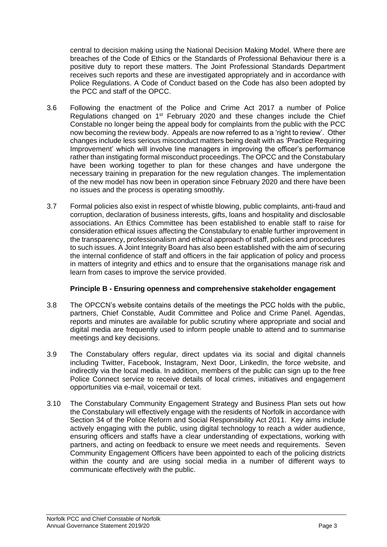central to decision making using the National Decision Making Model. Where there are breaches of the Code of Ethics or the Standards of Professional Behaviour there is a positive duty to report these matters. The Joint Professional Standards Department receives such reports and these are investigated appropriately and in accordance with Police Regulations. A Code of Conduct based on the Code has also been adopted by the PCC and staff of the OPCC.

- 3.6 Following the enactment of the Police and Crime Act 2017 a number of Police Regulations changed on  $1<sup>st</sup>$  February 2020 and these changes include the Chief Constable no longer being the appeal body for complaints from the public with the PCC now becoming the review body. Appeals are now referred to as a 'right to review'. Other changes include less serious misconduct matters being dealt with as 'Practice Requiring Improvement' which will involve line managers in improving the officer's performance rather than instigating formal misconduct proceedings. The OPCC and the Constabulary have been working together to plan for these changes and have undergone the necessary training in preparation for the new regulation changes. The implementation of the new model has now been in operation since February 2020 and there have been no issues and the process is operating smoothly.
- 3.7 Formal policies also exist in respect of whistle blowing, public complaints, anti-fraud and corruption, declaration of business interests, gifts, loans and hospitality and disclosable associations. An Ethics Committee has been established to enable staff to raise for consideration ethical issues affecting the Constabulary to enable further improvement in the transparency, professionalism and ethical approach of staff, policies and procedures to such issues. A Joint Integrity Board has also been established with the aim of securing the internal confidence of staff and officers in the fair application of policy and process in matters of integrity and ethics and to ensure that the organisations manage risk and learn from cases to improve the service provided.

### **Principle B - Ensuring openness and comprehensive stakeholder engagement**

- 3.8 The OPCCN's website contains details of the meetings the PCC holds with the public, partners, Chief Constable, Audit Committee and Police and Crime Panel. Agendas, reports and minutes are available for public scrutiny where appropriate and social and digital media are frequently used to inform people unable to attend and to summarise meetings and key decisions.
- 3.9 The Constabulary offers regular, direct updates via its social and digital channels including Twitter, Facebook, Instagram, Next Door, LinkedIn, the force website, and indirectly via the local media. In addition, members of the public can sign up to the free Police Connect service to receive details of local crimes, initiatives and engagement opportunities via e-mail, voicemail or text.
- 3.10 The Constabulary Community Engagement Strategy and Business Plan sets out how the Constabulary will effectively engage with the residents of Norfolk in accordance with Section 34 of the Police Reform and Social Responsibility Act 2011. Key aims include actively engaging with the public, using digital technology to reach a wider audience, ensuring officers and staffs have a clear understanding of expectations, working with partners, and acting on feedback to ensure we meet needs and requirements. Seven Community Engagement Officers have been appointed to each of the policing districts within the county and are using social media in a number of different ways to communicate effectively with the public.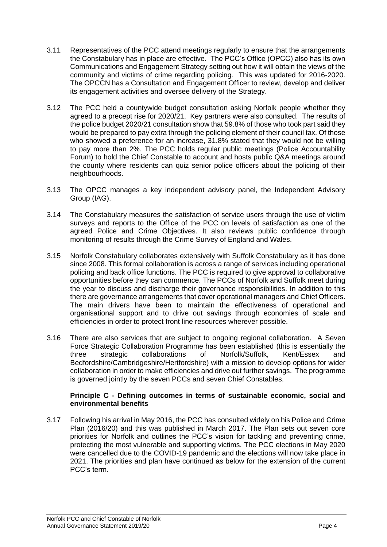- 3.11 Representatives of the PCC attend meetings regularly to ensure that the arrangements the Constabulary has in place are effective. The PCC's Office (OPCC) also has its own Communications and Engagement Strategy setting out how it will obtain the views of the community and victims of crime regarding policing. This was updated for 2016-2020. The OPCCN has a Consultation and Engagement Officer to review, develop and deliver its engagement activities and oversee delivery of the Strategy.
- 3.12 The PCC held a countywide budget consultation asking Norfolk people whether they agreed to a precept rise for 2020/21. Key partners were also consulted. The results of the police budget 2020/21 consultation show that 59.8% of those who took part said they would be prepared to pay extra through the policing element of their council tax. Of those who showed a preference for an increase, 31.8% stated that they would not be willing to pay more than 2%. The PCC holds regular public meetings (Police Accountability Forum) to hold the Chief Constable to account and hosts public Q&A meetings around the county where residents can quiz senior police officers about the policing of their neighbourhoods.
- 3.13 The OPCC manages a key independent advisory panel, the Independent Advisory Group (IAG).
- 3.14 The Constabulary measures the satisfaction of service users through the use of victim surveys and reports to the Office of the PCC on levels of satisfaction as one of the agreed Police and Crime Objectives. It also reviews public confidence through monitoring of results through the Crime Survey of England and Wales.
- 3.15 Norfolk Constabulary collaborates extensively with Suffolk Constabulary as it has done since 2008. This formal collaboration is across a range of services including operational policing and back office functions. The PCC is required to give approval to collaborative opportunities before they can commence. The PCCs of Norfolk and Suffolk meet during the year to discuss and discharge their governance responsibilities. In addition to this there are governance arrangements that cover operational managers and Chief Officers. The main drivers have been to maintain the effectiveness of operational and organisational support and to drive out savings through economies of scale and efficiencies in order to protect front line resources wherever possible.
- 3.16 There are also services that are subject to ongoing regional collaboration. A Seven Force Strategic Collaboration Programme has been established (this is essentially the three strategic collaborations of Norfolk/Suffolk, Kent/Essex and Bedfordshire/Cambridgeshire/Hertfordshire) with a mission to develop options for wider collaboration in order to make efficiencies and drive out further savings. The programme is governed jointly by the seven PCCs and seven Chief Constables.

### **Principle C - Defining outcomes in terms of sustainable economic, social and environmental benefits**

3.17 Following his arrival in May 2016, the PCC has consulted widely on his Police and Crime Plan (2016/20) and this was published in March 2017. The Plan sets out seven core priorities for Norfolk and outlines the PCC's vision for tackling and preventing crime, protecting the most vulnerable and supporting victims. The PCC elections in May 2020 were cancelled due to the COVID-19 pandemic and the elections will now take place in 2021. The priorities and plan have continued as below for the extension of the current PCC's term.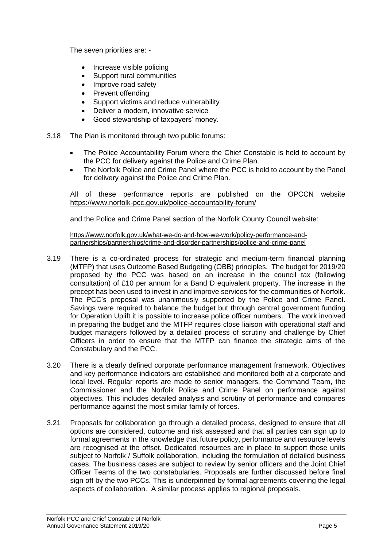The seven priorities are: -

- Increase visible policing
- Support rural communities
- Improve road safety
- Prevent offending
- Support victims and reduce vulnerability
- Deliver a modern, innovative service
- Good stewardship of taxpayers' money.
- 3.18 The Plan is monitored through two public forums:
	- The Police Accountability Forum where the Chief Constable is held to account by the PCC for delivery against the Police and Crime Plan.
	- The Norfolk Police and Crime Panel where the PCC is held to account by the Panel for delivery against the Police and Crime Plan.

All of these performance reports are published on the OPCCN website <https://www.norfolk-pcc.gov.uk/police-accountability-forum/>

and the Police and Crime Panel section of the Norfolk County Council website:

[https://www.norfolk.gov.uk/what-we-do-and-how-we-work/policy-performance-and](https://www.norfolk.gov.uk/what-we-do-and-how-we-work/policy-performance-and-partnerships/partnerships/crime-and-disorder-partnerships/police-and-crime-panel)[partnerships/partnerships/crime-and-disorder-partnerships/police-and-crime-panel](https://www.norfolk.gov.uk/what-we-do-and-how-we-work/policy-performance-and-partnerships/partnerships/crime-and-disorder-partnerships/police-and-crime-panel)

- 3.19 There is a co-ordinated process for strategic and medium-term financial planning (MTFP) that uses Outcome Based Budgeting (OBB) principles. The budget for 2019/20 proposed by the PCC was based on an increase in the council tax (following consultation) of £10 per annum for a Band D equivalent property. The increase in the precept has been used to invest in and improve services for the communities of Norfolk. The PCC's proposal was unanimously supported by the Police and Crime Panel. Savings were required to balance the budget but through central government funding for Operation Uplift it is possible to increase police officer numbers. The work involved in preparing the budget and the MTFP requires close liaison with operational staff and budget managers followed by a detailed process of scrutiny and challenge by Chief Officers in order to ensure that the MTFP can finance the strategic aims of the Constabulary and the PCC.
- 3.20 There is a clearly defined corporate performance management framework. Objectives and key performance indicators are established and monitored both at a corporate and local level. Regular reports are made to senior managers, the Command Team, the Commissioner and the Norfolk Police and Crime Panel on performance against objectives. This includes detailed analysis and scrutiny of performance and compares performance against the most similar family of forces.
- 3.21 Proposals for collaboration go through a detailed process, designed to ensure that all options are considered, outcome and risk assessed and that all parties can sign up to formal agreements in the knowledge that future policy, performance and resource levels are recognised at the offset. Dedicated resources are in place to support those units subject to Norfolk / Suffolk collaboration, including the formulation of detailed business cases. The business cases are subject to review by senior officers and the Joint Chief Officer Teams of the two constabularies. Proposals are further discussed before final sign off by the two PCCs. This is underpinned by formal agreements covering the legal aspects of collaboration. A similar process applies to regional proposals.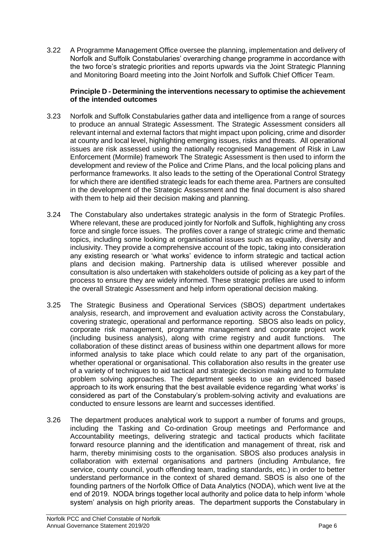3.22 A Programme Management Office oversee the planning, implementation and delivery of Norfolk and Suffolk Constabularies' overarching change programme in accordance with the two force's strategic priorities and reports upwards via the Joint Strategic Planning and Monitoring Board meeting into the Joint Norfolk and Suffolk Chief Officer Team.

### **Principle D - Determining the interventions necessary to optimise the achievement of the intended outcomes**

- 3.23 Norfolk and Suffolk Constabularies gather data and intelligence from a range of sources to produce an annual Strategic Assessment. The Strategic Assessment considers all relevant internal and external factors that might impact upon policing, crime and disorder at county and local level, highlighting emerging issues, risks and threats. All operational issues are risk assessed using the nationally recognised Management of Risk in Law Enforcement (Mormile) framework The Strategic Assessment is then used to inform the development and review of the Police and Crime Plans, and the local policing plans and performance frameworks. It also leads to the setting of the Operational Control Strategy for which there are identified strategic leads for each theme area. Partners are consulted in the development of the Strategic Assessment and the final document is also shared with them to help aid their decision making and planning.
- 3.24 The Constabulary also undertakes strategic analysis in the form of Strategic Profiles. Where relevant, these are produced jointly for Norfolk and Suffolk, highlighting any cross force and single force issues. The profiles cover a range of strategic crime and thematic topics, including some looking at organisational issues such as equality, diversity and inclusivity. They provide a comprehensive account of the topic, taking into consideration any existing research or 'what works' evidence to inform strategic and tactical action plans and decision making. Partnership data is utilised wherever possible and consultation is also undertaken with stakeholders outside of policing as a key part of the process to ensure they are widely informed. These strategic profiles are used to inform the overall Strategic Assessment and help inform operational decision making.
- 3.25 The Strategic Business and Operational Services (SBOS) department undertakes analysis, research, and improvement and evaluation activity across the Constabulary, covering strategic, operational and performance reporting. SBOS also leads on policy, corporate risk management, programme management and corporate project work (including business analysis), along with crime registry and audit functions. The collaboration of these distinct areas of business within one department allows for more informed analysis to take place which could relate to any part of the organisation, whether operational or organisational. This collaboration also results in the greater use of a variety of techniques to aid tactical and strategic decision making and to formulate problem solving approaches. The department seeks to use an evidenced based approach to its work ensuring that the best available evidence regarding 'what works' is considered as part of the Constabulary's problem-solving activity and evaluations are conducted to ensure lessons are learnt and successes identified.
- 3.26 The department produces analytical work to support a number of forums and groups, including the Tasking and Co-ordination Group meetings and Performance and Accountability meetings, delivering strategic and tactical products which facilitate forward resource planning and the identification and management of threat, risk and harm, thereby minimising costs to the organisation. SBOS also produces analysis in collaboration with external organisations and partners (including Ambulance, fire service, county council, youth offending team, trading standards, etc.) in order to better understand performance in the context of shared demand. SBOS is also one of the founding partners of the Norfolk Office of Data Analytics (NODA), which went live at the end of 2019. NODA brings together local authority and police data to help inform 'whole system' analysis on high priority areas. The department supports the Constabulary in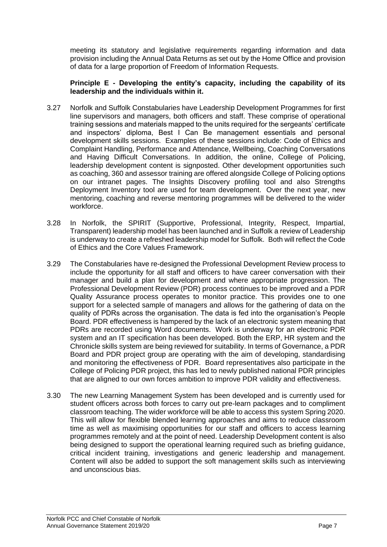meeting its statutory and legislative requirements regarding information and data provision including the Annual Data Returns as set out by the Home Office and provision of data for a large proportion of Freedom of Information Requests.

### **Principle E - Developing the entity's capacity, including the capability of its leadership and the individuals within it.**

- 3.27 Norfolk and Suffolk Constabularies have Leadership Development Programmes for first line supervisors and managers, both officers and staff. These comprise of operational training sessions and materials mapped to the units required for the sergeants' certificate and inspectors' diploma, Best I Can Be management essentials and personal development skills sessions. Examples of these sessions include: Code of Ethics and Complaint Handling, Performance and Attendance, Wellbeing, Coaching Conversations and Having Difficult Conversations. In addition, the online, College of Policing, leadership development content is signposted. Other development opportunities such as coaching, 360 and assessor training are offered alongside College of Policing options on our intranet pages. The Insights Discovery profiling tool and also Strengths Deployment Inventory tool are used for team development. Over the next year, new mentoring, coaching and reverse mentoring programmes will be delivered to the wider workforce.
- 3.28 In Norfolk, the SPIRIT (Supportive, Professional, Integrity, Respect, Impartial, Transparent) leadership model has been launched and in Suffolk a review of Leadership is underway to create a refreshed leadership model for Suffolk. Both will reflect the Code of Ethics and the Core Values Framework.
- 3.29 The Constabularies have re-designed the Professional Development Review process to include the opportunity for all staff and officers to have career conversation with their manager and build a plan for development and where appropriate progression. The Professional Development Review (PDR) process continues to be improved and a PDR Quality Assurance process operates to monitor practice. This provides one to one support for a selected sample of managers and allows for the gathering of data on the quality of PDRs across the organisation. The data is fed into the organisation's People Board. PDR effectiveness is hampered by the lack of an electronic system meaning that PDRs are recorded using Word documents. Work is underway for an electronic PDR system and an IT specification has been developed. Both the ERP, HR system and the Chronicle skills system are being reviewed for suitability. In terms of Governance, a PDR Board and PDR project group are operating with the aim of developing, standardising and monitoring the effectiveness of PDR. Board representatives also participate in the College of Policing PDR project, this has led to newly published national PDR principles that are aligned to our own forces ambition to improve PDR validity and effectiveness.
- 3.30 The new Learning Management System has been developed and is currently used for student officers across both forces to carry out pre-learn packages and to compliment classroom teaching. The wider workforce will be able to access this system Spring 2020. This will allow for flexible blended learning approaches and aims to reduce classroom time as well as maximising opportunities for our staff and officers to access learning programmes remotely and at the point of need. Leadership Development content is also being designed to support the operational learning required such as briefing guidance, critical incident training, investigations and generic leadership and management. Content will also be added to support the soft management skills such as interviewing and unconscious bias.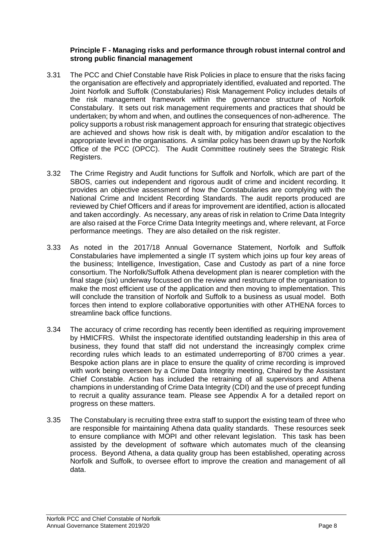### **Principle F - Managing risks and performance through robust internal control and strong public financial management**

- 3.31 The PCC and Chief Constable have Risk Policies in place to ensure that the risks facing the organisation are effectively and appropriately identified, evaluated and reported. The Joint Norfolk and Suffolk (Constabularies) Risk Management Policy includes details of the risk management framework within the governance structure of Norfolk Constabulary. It sets out risk management requirements and practices that should be undertaken; by whom and when, and outlines the consequences of non-adherence. The policy supports a robust risk management approach for ensuring that strategic objectives are achieved and shows how risk is dealt with, by mitigation and/or escalation to the appropriate level in the organisations. A similar policy has been drawn up by the Norfolk Office of the PCC (OPCC). The Audit Committee routinely sees the Strategic Risk Registers.
- 3.32 The Crime Registry and Audit functions for Suffolk and Norfolk, which are part of the SBOS, carries out independent and rigorous audit of crime and incident recording. It provides an objective assessment of how the Constabularies are complying with the National Crime and Incident Recording Standards. The audit reports produced are reviewed by Chief Officers and if areas for improvement are identified, action is allocated and taken accordingly. As necessary, any areas of risk in relation to Crime Data Integrity are also raised at the Force Crime Data Integrity meetings and, where relevant, at Force performance meetings. They are also detailed on the risk register.
- 3.33 As noted in the 2017/18 Annual Governance Statement, Norfolk and Suffolk Constabularies have implemented a single IT system which joins up four key areas of the business; Intelligence, Investigation, Case and Custody as part of a nine force consortium. The Norfolk/Suffolk Athena development plan is nearer completion with the final stage (six) underway focussed on the review and restructure of the organisation to make the most efficient use of the application and then moving to implementation. This will conclude the transition of Norfolk and Suffolk to a business as usual model. Both forces then intend to explore collaborative opportunities with other ATHENA forces to streamline back office functions.
- 3.34 The accuracy of crime recording has recently been identified as requiring improvement by HMICFRS. Whilst the inspectorate identified outstanding leadership in this area of business, they found that staff did not understand the increasingly complex crime recording rules which leads to an estimated underreporting of 8700 crimes a year. Bespoke action plans are in place to ensure the quality of crime recording is improved with work being overseen by a Crime Data Integrity meeting, Chaired by the Assistant Chief Constable. Action has included the retraining of all supervisors and Athena champions in understanding of Crime Data Integrity (CDI) and the use of precept funding to recruit a quality assurance team. Please see Appendix A for a detailed report on progress on these matters.
- 3.35 The Constabulary is recruiting three extra staff to support the existing team of three who are responsible for maintaining Athena data quality standards. These resources seek to ensure compliance with MOPI and other relevant legislation. This task has been assisted by the development of software which automates much of the cleansing process. Beyond Athena, a data quality group has been established, operating across Norfolk and Suffolk, to oversee effort to improve the creation and management of all data.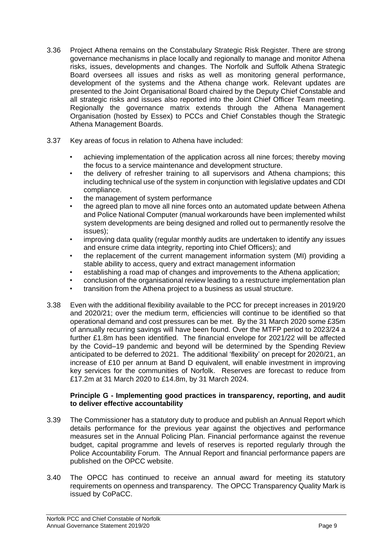- 3.36 Project Athena remains on the Constabulary Strategic Risk Register. There are strong governance mechanisms in place locally and regionally to manage and monitor Athena risks, issues, developments and changes. The Norfolk and Suffolk Athena Strategic Board oversees all issues and risks as well as monitoring general performance, development of the systems and the Athena change work. Relevant updates are presented to the Joint Organisational Board chaired by the Deputy Chief Constable and all strategic risks and issues also reported into the Joint Chief Officer Team meeting. Regionally the governance matrix extends through the Athena Management Organisation (hosted by Essex) to PCCs and Chief Constables though the Strategic Athena Management Boards.
- 3.37 Key areas of focus in relation to Athena have included:
	- achieving implementation of the application across all nine forces; thereby moving the focus to a service maintenance and development structure.
	- the delivery of refresher training to all supervisors and Athena champions; this including technical use of the system in conjunction with legislative updates and CDI compliance.
	- the management of system performance
	- the agreed plan to move all nine forces onto an automated update between Athena and Police National Computer (manual workarounds have been implemented whilst system developments are being designed and rolled out to permanently resolve the issues);
	- improving data quality (regular monthly audits are undertaken to identify any issues and ensure crime data integrity, reporting into Chief Officers); and
	- the replacement of the current management information system (MI) providing a stable ability to access, query and extract management information
	- establishing a road map of changes and improvements to the Athena application;
	- conclusion of the organisational review leading to a restructure implementation plan
	- transition from the Athena project to a business as usual structure.
- 3.38 Even with the additional flexibility available to the PCC for precept increases in 2019/20 and 2020/21; over the medium term, efficiencies will continue to be identified so that operational demand and cost pressures can be met. By the 31 March 2020 some £35m of annually recurring savings will have been found. Over the MTFP period to 2023/24 a further £1.8m has been identified. The financial envelope for 2021/22 will be affected by the Covid–19 pandemic and beyond will be determined by the Spending Review anticipated to be deferred to 2021. The additional 'flexibility' on precept for 2020/21, an increase of £10 per annum at Band D equivalent, will enable investment in improving key services for the communities of Norfolk. Reserves are forecast to reduce from £17.2m at 31 March 2020 to £14.8m, by 31 March 2024.

### **Principle G - Implementing good practices in transparency, reporting, and audit to deliver effective accountability**

- 3.39 The Commissioner has a statutory duty to produce and publish an Annual Report which details performance for the previous year against the objectives and performance measures set in the Annual Policing Plan. Financial performance against the revenue budget, capital programme and levels of reserves is reported regularly through the Police Accountability Forum. The Annual Report and financial performance papers are published on the OPCC website.
- 3.40 The OPCC has continued to receive an annual award for meeting its statutory requirements on openness and transparency. The OPCC Transparency Quality Mark is issued by CoPaCC.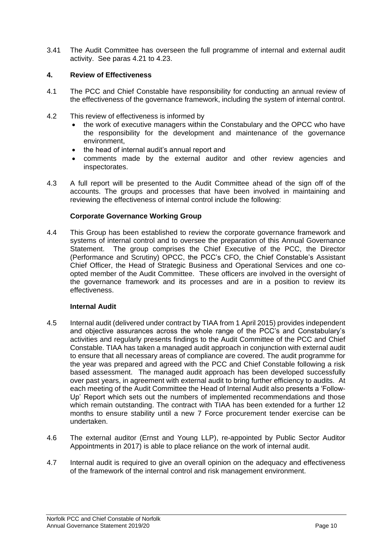3.41 The Audit Committee has overseen the full programme of internal and external audit activity. See paras 4.21 to 4.23.

### **4. Review of Effectiveness**

- 4.1 The PCC and Chief Constable have responsibility for conducting an annual review of the effectiveness of the governance framework, including the system of internal control.
- 4.2 This review of effectiveness is informed by
	- the work of executive managers within the Constabulary and the OPCC who have the responsibility for the development and maintenance of the governance environment,
	- the head of internal audit's annual report and
	- comments made by the external auditor and other review agencies and inspectorates.
- 4.3 A full report will be presented to the Audit Committee ahead of the sign off of the accounts. The groups and processes that have been involved in maintaining and reviewing the effectiveness of internal control include the following:

### **Corporate Governance Working Group**

4.4 This Group has been established to review the corporate governance framework and systems of internal control and to oversee the preparation of this Annual Governance Statement. The group comprises the Chief Executive of the PCC, the Director (Performance and Scrutiny) OPCC, the PCC's CFO, the Chief Constable's Assistant Chief Officer, the Head of Strategic Business and Operational Services and one coopted member of the Audit Committee. These officers are involved in the oversight of the governance framework and its processes and are in a position to review its effectiveness.

### **Internal Audit**

- 4.5 Internal audit (delivered under contract by TIAA from 1 April 2015) provides independent and objective assurances across the whole range of the PCC's and Constabulary's activities and regularly presents findings to the Audit Committee of the PCC and Chief Constable. TIAA has taken a managed audit approach in conjunction with external audit to ensure that all necessary areas of compliance are covered. The audit programme for the year was prepared and agreed with the PCC and Chief Constable following a risk based assessment. The managed audit approach has been developed successfully over past years, in agreement with external audit to bring further efficiency to audits. At each meeting of the Audit Committee the Head of Internal Audit also presents a 'Follow-Up' Report which sets out the numbers of implemented recommendations and those which remain outstanding. The contract with TIAA has been extended for a further 12 months to ensure stability until a new 7 Force procurement tender exercise can be undertaken.
- 4.6 The external auditor (Ernst and Young LLP), re-appointed by Public Sector Auditor Appointments in 2017) is able to place reliance on the work of internal audit.
- 4.7 Internal audit is required to give an overall opinion on the adequacy and effectiveness of the framework of the internal control and risk management environment.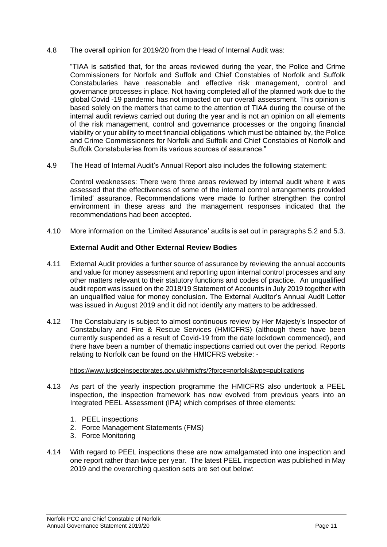4.8 The overall opinion for 2019/20 from the Head of Internal Audit was:

"TIAA is satisfied that, for the areas reviewed during the year, the Police and Crime Commissioners for Norfolk and Suffolk and Chief Constables of Norfolk and Suffolk Constabularies have reasonable and effective risk management, control and governance processes in place. Not having completed all of the planned work due to the global Covid -19 pandemic has not impacted on our overall assessment. This opinion is based solely on the matters that came to the attention of TIAA during the course of the internal audit reviews carried out during the year and is not an opinion on all elements of the risk management, control and governance processes or the ongoing financial viability or your ability to meet financial obligations which must be obtained by, the Police and Crime Commissioners for Norfolk and Suffolk and Chief Constables of Norfolk and Suffolk Constabularies from its various sources of assurance."

4.9 The Head of Internal Audit's Annual Report also includes the following statement:

Control weaknesses: There were three areas reviewed by internal audit where it was assessed that the effectiveness of some of the internal control arrangements provided 'limited' assurance. Recommendations were made to further strengthen the control environment in these areas and the management responses indicated that the recommendations had been accepted.

4.10 More information on the 'Limited Assurance' audits is set out in paragraphs 5.2 and 5.3.

# **External Audit and Other External Review Bodies**

- 4.11 External Audit provides a further source of assurance by reviewing the annual accounts and value for money assessment and reporting upon internal control processes and any other matters relevant to their statutory functions and codes of practice. An unqualified audit report was issued on the 2018/19 Statement of Accounts in July 2019 together with an unqualified value for money conclusion. The External Auditor's Annual Audit Letter was issued in August 2019 and it did not identify any matters to be addressed.
- 4.12 The Constabulary is subject to almost continuous review by Her Majesty's Inspector of Constabulary and Fire & Rescue Services (HMICFRS) (although these have been currently suspended as a result of Covid-19 from the date lockdown commenced), and there have been a number of thematic inspections carried out over the period. Reports relating to Norfolk can be found on the HMICFRS website: -

#### <https://www.justiceinspectorates.gov.uk/hmicfrs/?force=norfolk&type=publications>

- 4.13 As part of the yearly inspection programme the HMICFRS also undertook a PEEL inspection, the inspection framework has now evolved from previous years into an Integrated PEEL Assessment (IPA) which comprises of three elements:
	- 1. PEEL inspections
	- 2. Force Management Statements (FMS)
	- 3. Force Monitoring
- 4.14 With regard to PEEL inspections these are now amalgamated into one inspection and one report rather than twice per year. The latest PEEL inspection was published in May 2019 and the overarching question sets are set out below: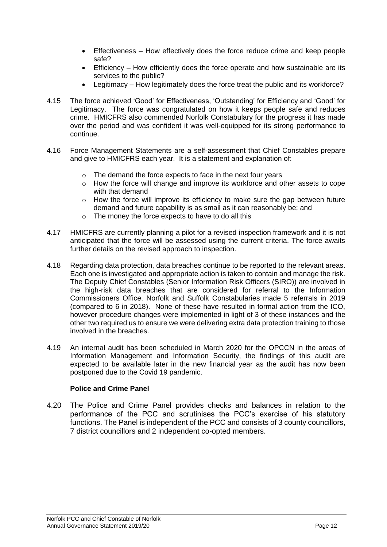- Effectiveness How effectively does the force reduce crime and keep people safe?
- Efficiency How efficiently does the force operate and how sustainable are its services to the public?
- Legitimacy How legitimately does the force treat the public and its workforce?
- 4.15 The force achieved 'Good' for Effectiveness, 'Outstanding' for Efficiency and 'Good' for Legitimacy. The force was congratulated on how it keeps people safe and reduces crime. HMICFRS also commended Norfolk Constabulary for the progress it has made over the period and was confident it was well-equipped for its strong performance to continue.
- 4.16 Force Management Statements are a self-assessment that Chief Constables prepare and give to HMICFRS each year. It is a statement and explanation of:
	- $\circ$  The demand the force expects to face in the next four years
	- o How the force will change and improve its workforce and other assets to cope with that demand
	- o How the force will improve its efficiency to make sure the gap between future demand and future capability is as small as it can reasonably be; and
	- o The money the force expects to have to do all this
- 4.17 HMICFRS are currently planning a pilot for a revised inspection framework and it is not anticipated that the force will be assessed using the current criteria. The force awaits further details on the revised approach to inspection.
- 4.18 Regarding data protection, data breaches continue to be reported to the relevant areas. Each one is investigated and appropriate action is taken to contain and manage the risk. The Deputy Chief Constables (Senior Information Risk Officers (SIRO)) are involved in the high-risk data breaches that are considered for referral to the Information Commissioners Office. Norfolk and Suffolk Constabularies made 5 referrals in 2019 (compared to 6 in 2018). None of these have resulted in formal action from the ICO, however procedure changes were implemented in light of 3 of these instances and the other two required us to ensure we were delivering extra data protection training to those involved in the breaches.
- 4.19 An internal audit has been scheduled in March 2020 for the OPCCN in the areas of Information Management and Information Security, the findings of this audit are expected to be available later in the new financial year as the audit has now been postponed due to the Covid 19 pandemic.

### **Police and Crime Panel**

4.20 The Police and Crime Panel provides checks and balances in relation to the performance of the PCC and scrutinises the PCC's exercise of his statutory functions. The Panel is independent of the PCC and consists of 3 county councillors, 7 district councillors and 2 independent co-opted members.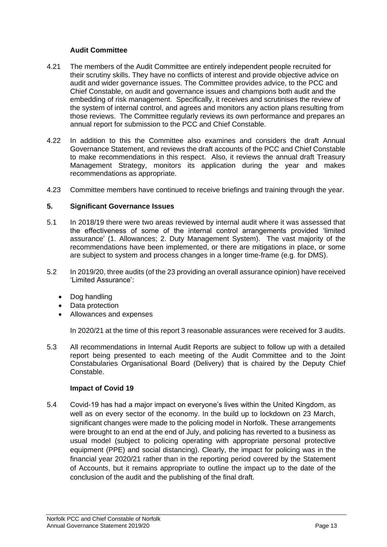## **Audit Committee**

- 4.21 The members of the Audit Committee are entirely independent people recruited for their scrutiny skills. They have no conflicts of interest and provide objective advice on audit and wider governance issues. The Committee provides advice, to the PCC and Chief Constable, on audit and governance issues and champions both audit and the embedding of risk management. Specifically, it receives and scrutinises the review of the system of internal control, and agrees and monitors any action plans resulting from those reviews. The Committee regularly reviews its own performance and prepares an annual report for submission to the PCC and Chief Constable.
- 4.22 In addition to this the Committee also examines and considers the draft Annual Governance Statement, and reviews the draft accounts of the PCC and Chief Constable to make recommendations in this respect. Also, it reviews the annual draft Treasury Management Strategy, monitors its application during the year and makes recommendations as appropriate.
- 4.23 Committee members have continued to receive briefings and training through the year.

### **5. Significant Governance Issues**

- 5.1 In 2018/19 there were two areas reviewed by internal audit where it was assessed that the effectiveness of some of the internal control arrangements provided 'limited assurance' (1. Allowances; 2. Duty Management System). The vast majority of the recommendations have been implemented, or there are mitigations in place, or some are subject to system and process changes in a longer time-frame (e.g. for DMS).
- 5.2 In 2019/20, three audits (of the 23 providing an overall assurance opinion) have received 'Limited Assurance':
	- Dog handling
	- Data protection
	- Allowances and expenses

In 2020/21 at the time of this report 3 reasonable assurances were received for 3 audits.

5.3 All recommendations in Internal Audit Reports are subject to follow up with a detailed report being presented to each meeting of the Audit Committee and to the Joint Constabularies Organisational Board (Delivery) that is chaired by the Deputy Chief Constable.

### **Impact of Covid 19**

5.4 Covid-19 has had a major impact on everyone's lives within the United Kingdom, as well as on every sector of the economy. In the build up to lockdown on 23 March, significant changes were made to the policing model in Norfolk. These arrangements were brought to an end at the end of July, and policing has reverted to a business as usual model (subject to policing operating with appropriate personal protective equipment (PPE) and social distancing). Clearly, the impact for policing was in the financial year 2020/21 rather than in the reporting period covered by the Statement of Accounts, but it remains appropriate to outline the impact up to the date of the conclusion of the audit and the publishing of the final draft.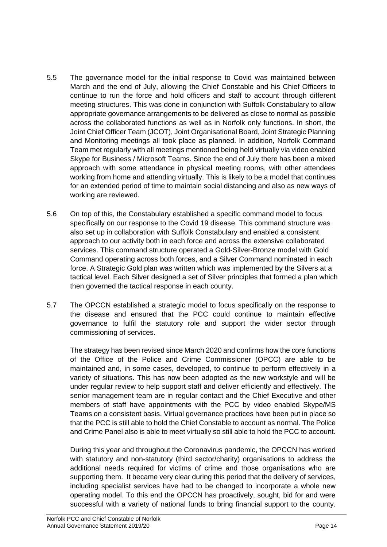- 5.5 The governance model for the initial response to Covid was maintained between March and the end of July, allowing the Chief Constable and his Chief Officers to continue to run the force and hold officers and staff to account through different meeting structures. This was done in conjunction with Suffolk Constabulary to allow appropriate governance arrangements to be delivered as close to normal as possible across the collaborated functions as well as in Norfolk only functions. In short, the Joint Chief Officer Team (JCOT), Joint Organisational Board, Joint Strategic Planning and Monitoring meetings all took place as planned. In addition, Norfolk Command Team met regularly with all meetings mentioned being held virtually via video enabled Skype for Business / Microsoft Teams. Since the end of July there has been a mixed approach with some attendance in physical meeting rooms, with other attendees working from home and attending virtually. This is likely to be a model that continues for an extended period of time to maintain social distancing and also as new ways of working are reviewed.
- 5.6 On top of this, the Constabulary established a specific command model to focus specifically on our response to the Covid 19 disease. This command structure was also set up in collaboration with Suffolk Constabulary and enabled a consistent approach to our activity both in each force and across the extensive collaborated services. This command structure operated a Gold-Silver-Bronze model with Gold Command operating across both forces, and a Silver Command nominated in each force. A Strategic Gold plan was written which was implemented by the Silvers at a tactical level. Each Silver designed a set of Silver principles that formed a plan which then governed the tactical response in each county.
- 5.7 The OPCCN established a strategic model to focus specifically on the response to the disease and ensured that the PCC could continue to maintain effective governance to fulfil the statutory role and support the wider sector through commissioning of services.

The strategy has been revised since March 2020 and confirms how the core functions of the Office of the Police and Crime Commissioner (OPCC) are able to be maintained and, in some cases, developed, to continue to perform effectively in a variety of situations. This has now been adopted as the new workstyle and will be under regular review to help support staff and deliver efficiently and effectively. The senior management team are in regular contact and the Chief Executive and other members of staff have appointments with the PCC by video enabled Skype/MS Teams on a consistent basis. Virtual governance practices have been put in place so that the PCC is still able to hold the Chief Constable to account as normal. The Police and Crime Panel also is able to meet virtually so still able to hold the PCC to account.

During this year and throughout the Coronavirus pandemic, the OPCCN has worked with statutory and non-statutory (third sector/charity) organisations to address the additional needs required for victims of crime and those organisations who are supporting them. It became very clear during this period that the delivery of services, including specialist services have had to be changed to incorporate a whole new operating model. To this end the OPCCN has proactively, sought, bid for and were successful with a variety of national funds to bring financial support to the county.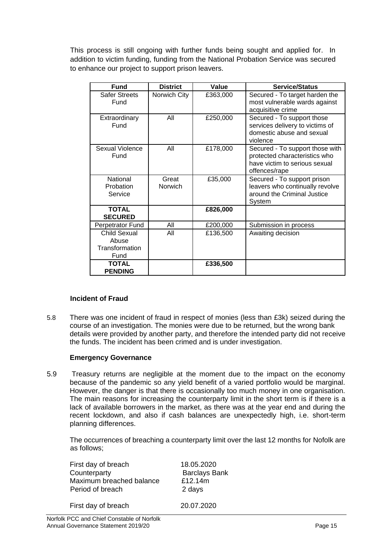This process is still ongoing with further funds being sought and applied for. In addition to victim funding, funding from the National Probation Service was secured to enhance our project to support prison leavers.

| <b>Fund</b>                                            | <b>District</b>  | Value    | <b>Service/Status</b>                                                                                              |
|--------------------------------------------------------|------------------|----------|--------------------------------------------------------------------------------------------------------------------|
| <b>Safer Streets</b><br>Fund                           | Norwich City     | £363,000 | Secured - To target harden the<br>most vulnerable wards against<br>acquisitive crime                               |
| Extraordinary<br>Fund                                  | All              | £250,000 | Secured - To support those<br>services delivery to victims of<br>domestic abuse and sexual<br>violence             |
| <b>Sexual Violence</b><br>Fund                         | All              | £178,000 | Secured - To support those with<br>protected characteristics who<br>have victim to serious sexual<br>offences/rape |
| National<br>Probation<br>Service                       | Great<br>Norwich | £35,000  | Secured - To support prison<br>leavers who continually revolve<br>around the Criminal Justice<br>System            |
| <b>TOTAL</b><br><b>SECURED</b>                         |                  | £826,000 |                                                                                                                    |
| Perpetrator Fund                                       | All              | £200,000 | Submission in process                                                                                              |
| <b>Child Sexual</b><br>Abuse<br>Transformation<br>Fund | All              | £136,500 | Awaiting decision                                                                                                  |
| <b>TOTAL</b><br><b>PENDING</b>                         |                  | £336,500 |                                                                                                                    |

# **Incident of Fraud**

5.8 There was one incident of fraud in respect of monies (less than £3k) seized during the course of an investigation. The monies were due to be returned, but the wrong bank details were provided by another party, and therefore the intended party did not receive the funds. The incident has been crimed and is under investigation.

### **Emergency Governance**

5.9 Treasury returns are negligible at the moment due to the impact on the economy because of the pandemic so any yield benefit of a varied portfolio would be marginal. However, the danger is that there is occasionally too much money in one organisation. The main reasons for increasing the counterparty limit in the short term is if there is a lack of available borrowers in the market, as there was at the year end and during the recent lockdown, and also if cash balances are unexpectedly high, i.e. short-term planning differences.

The occurrences of breaching a counterparty limit over the last 12 months for Nofolk are as follows;

| First day of breach      | 18.05.2020           |
|--------------------------|----------------------|
| Counterparty             | <b>Barclays Bank</b> |
| Maximum breached balance | £12.14m              |
| Period of breach         | 2 days               |
| First day of breach      | 20.07.2020           |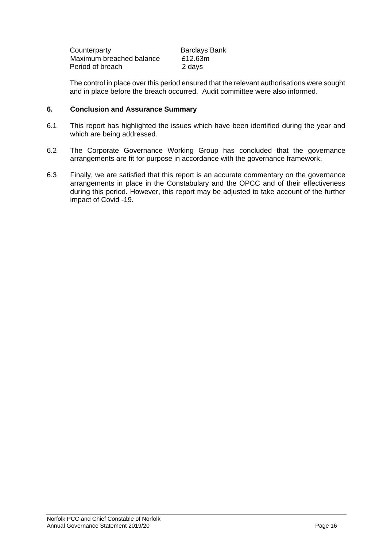| Counterparty             | <b>Barclays Bank</b> |
|--------------------------|----------------------|
| Maximum breached balance | £12.63m              |
| Period of breach         | 2 days               |

The control in place over this period ensured that the relevant authorisations were sought and in place before the breach occurred. Audit committee were also informed.

### **6. Conclusion and Assurance Summary**

- 6.1 This report has highlighted the issues which have been identified during the year and which are being addressed.
- 6.2 The Corporate Governance Working Group has concluded that the governance arrangements are fit for purpose in accordance with the governance framework.
- 6.3 Finally, we are satisfied that this report is an accurate commentary on the governance arrangements in place in the Constabulary and the OPCC and of their effectiveness during this period. However, this report may be adjusted to take account of the further impact of Covid -19.